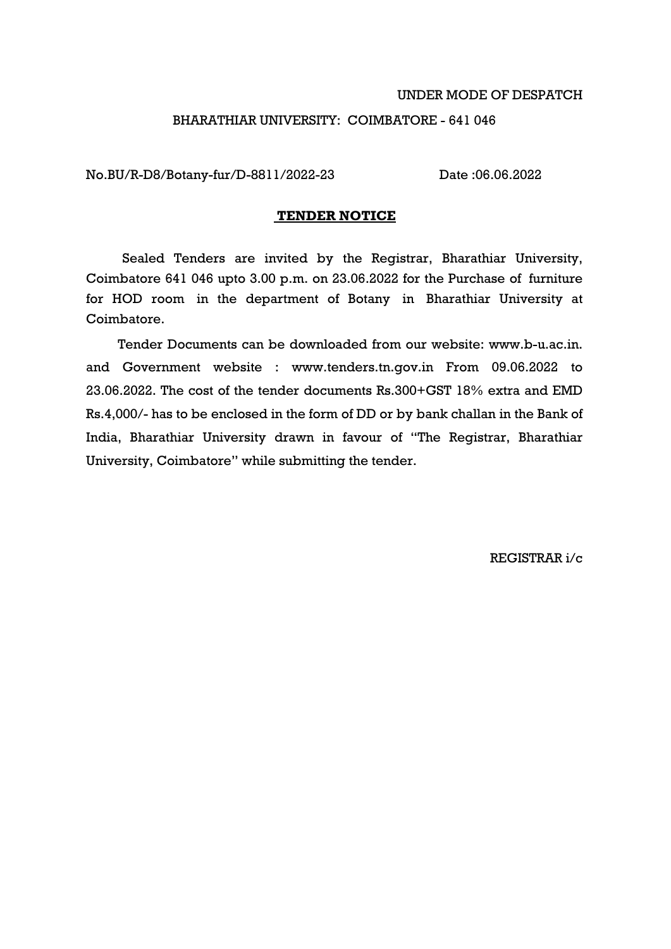#### UNDER MODE OF DESPATCH

#### BHARATHIAR UNIVERSITY: COIMBATORE - 641 046

No.BU/R-D8/Botany-fur/D-8811/2022-23 Date :06.06.2022

### **TENDER NOTICE**

Sealed Tenders are invited by the Registrar, Bharathiar University, Coimbatore 641 046 upto 3.00 p.m. on 23.06.2022 for the Purchase of furniture for HOD room in the department of Botany in Bharathiar University at Coimbatore.

Tender Documents can be downloaded from our website: www.b-u.ac.in. and Government website : www.tenders.tn.gov.in From 09.06.2022 to 23.06.2022. The cost of the tender documents Rs.300+GST 18% extra and EMD Rs.4,000/- has to be enclosed in the form of DD or by bank challan in the Bank of India, Bharathiar University drawn in favour of "The Registrar, Bharathiar University, Coimbatore" while submitting the tender.

REGISTRAR i/c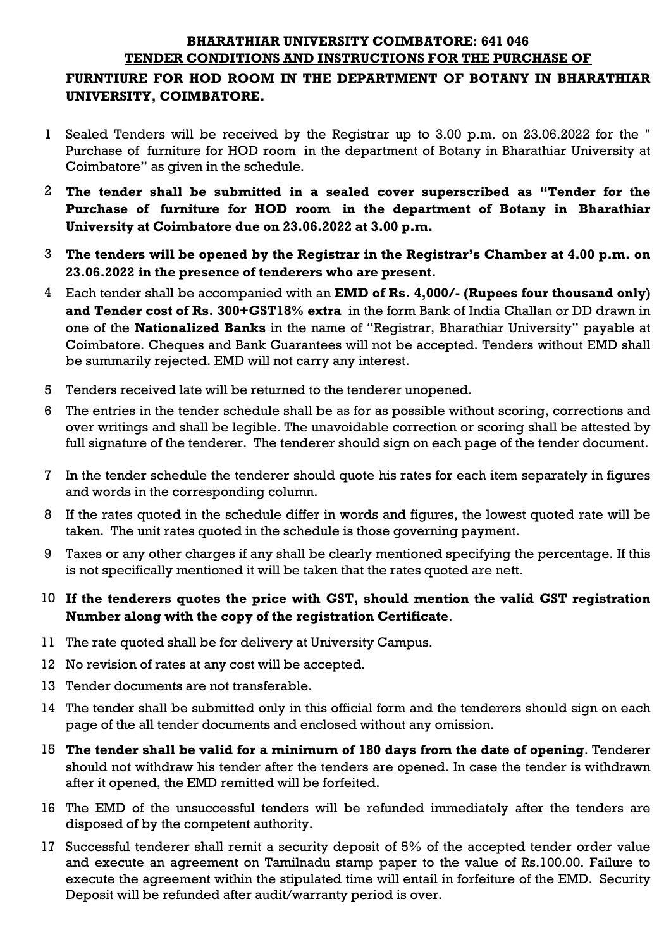#### **BHARATHIAR UNIVERSITY COIMBATORE: 641 046 TENDER CONDITIONS AND INSTRUCTIONS FOR THE PURCHASE OF**

# **FURNTIURE FOR HOD ROOM IN THE DEPARTMENT OF BOTANY IN BHARATHIAR UNIVERSITY, COIMBATORE.**

- 1 Sealed Tenders will be received by the Registrar up to 3.00 p.m. on 23.06.2022 for the " Purchase of furniture for HOD room in the department of Botany in Bharathiar University at Coimbatore" as given in the schedule.
- 2 **The tender shall be submitted in a sealed cover superscribed as "Tender for the Purchase of furniture for HOD room in the department of Botany in Bharathiar University at Coimbatore due on 23.06.2022 at 3.00 p.m.**
- 3 **The tenders will be opened by the Registrar in the Registrar's Chamber at 4.00 p.m. on 23.06.2022 in the presence of tenderers who are present.**
- 4 Each tender shall be accompanied with an **EMD of Rs. 4,000/- (Rupees four thousand only) and Tender cost of Rs. 300+GST18% extra** in the form Bank of India Challan or DD drawn in one of the **Nationalized Banks** in the name of "Registrar, Bharathiar University" payable at Coimbatore. Cheques and Bank Guarantees will not be accepted. Tenders without EMD shall be summarily rejected. EMD will not carry any interest.
- 5 Tenders received late will be returned to the tenderer unopened.
- 6 The entries in the tender schedule shall be as for as possible without scoring, corrections and over writings and shall be legible. The unavoidable correction or scoring shall be attested by full signature of the tenderer. The tenderer should sign on each page of the tender document.
- 7 In the tender schedule the tenderer should quote his rates for each item separately in figures and words in the corresponding column.
- 8 If the rates quoted in the schedule differ in words and figures, the lowest quoted rate will be taken. The unit rates quoted in the schedule is those governing payment.
- 9 Taxes or any other charges if any shall be clearly mentioned specifying the percentage. If this is not specifically mentioned it will be taken that the rates quoted are nett.
- 10 **If the tenderers quotes the price with GST, should mention the valid GST registration Number along with the copy of the registration Certificate**.
- 11 The rate quoted shall be for delivery at University Campus.
- 12 No revision of rates at any cost will be accepted.
- 13 Tender documents are not transferable.
- 14 The tender shall be submitted only in this official form and the tenderers should sign on each page of the all tender documents and enclosed without any omission.
- 15 **The tender shall be valid for a minimum of 180 days from the date of opening**. Tenderer should not withdraw his tender after the tenders are opened. In case the tender is withdrawn after it opened, the EMD remitted will be forfeited.
- 16 The EMD of the unsuccessful tenders will be refunded immediately after the tenders are disposed of by the competent authority.
- 17 Successful tenderer shall remit a security deposit of 5% of the accepted tender order value and execute an agreement on Tamilnadu stamp paper to the value of Rs.100.00. Failure to execute the agreement within the stipulated time will entail in forfeiture of the EMD. Security Deposit will be refunded after audit/warranty period is over.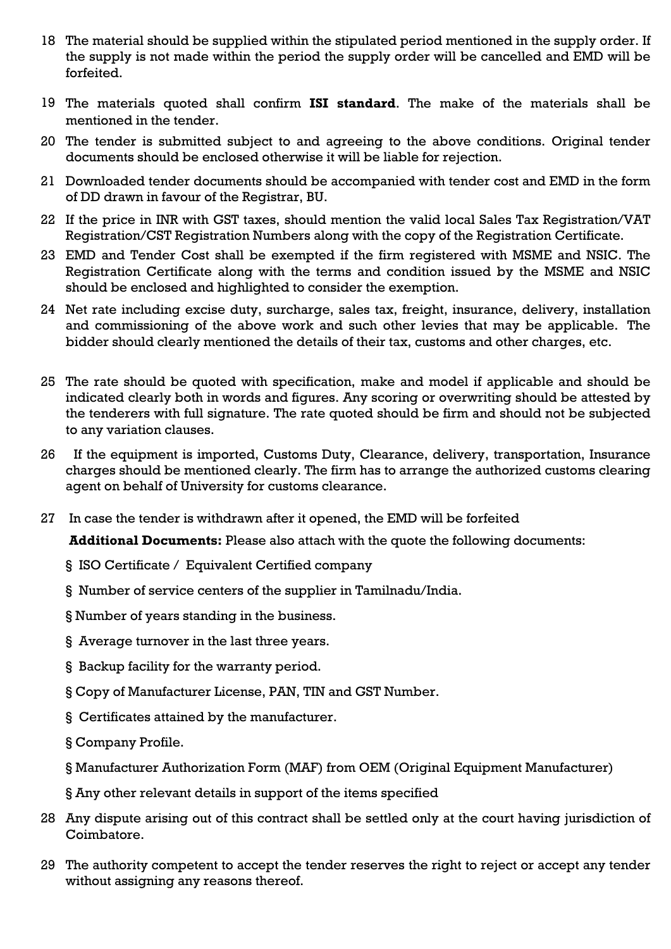- 18 The material should be supplied within the stipulated period mentioned in the supply order. If the supply is not made within the period the supply order will be cancelled and EMD will be forfeited.
- 19 The materials quoted shall confirm **ISI standard**. The make of the materials shall be mentioned in the tender.
- 20 The tender is submitted subject to and agreeing to the above conditions. Original tender documents should be enclosed otherwise it will be liable for rejection.
- 21 Downloaded tender documents should be accompanied with tender cost and EMD in the form of DD drawn in favour of the Registrar, BU.
- 22 If the price in INR with GST taxes, should mention the valid local Sales Tax Registration/VAT Registration/CST Registration Numbers along with the copy of the Registration Certificate.
- 23 EMD and Tender Cost shall be exempted if the firm registered with MSME and NSIC. The Registration Certificate along with the terms and condition issued by the MSME and NSIC should be enclosed and highlighted to consider the exemption.
- 24 Net rate including excise duty, surcharge, sales tax, freight, insurance, delivery, installation and commissioning of the above work and such other levies that may be applicable. The bidder should clearly mentioned the details of their tax, customs and other charges, etc.
- 25 The rate should be quoted with specification, make and model if applicable and should be indicated clearly both in words and figures. Any scoring or overwriting should be attested by the tenderers with full signature. The rate quoted should be firm and should not be subjected to any variation clauses.
- 26 If the equipment is imported, Customs Duty, Clearance, delivery, transportation, Insurance charges should be mentioned clearly. The firm has to arrange the authorized customs clearing agent on behalf of University for customs clearance.
- 27 In case the tender is withdrawn after it opened, the EMD will be forfeited

**Additional Documents:** Please also attach with the quote the following documents:

- § ISO Certificate / Equivalent Certified company
- § Number of service centers of the supplier in Tamilnadu/India.
- § Number of years standing in the business.
- § Average turnover in the last three years.
- § Backup facility for the warranty period.
- § Copy of Manufacturer License, PAN, TIN and GST Number.
- § Certificates attained by the manufacturer.
- § Company Profile.
- § Manufacturer Authorization Form (MAF) from OEM (Original Equipment Manufacturer)
- § Any other relevant details in support of the items specified
- 28 Any dispute arising out of this contract shall be settled only at the court having jurisdiction of Coimbatore.
- 29 The authority competent to accept the tender reserves the right to reject or accept any tender without assigning any reasons thereof.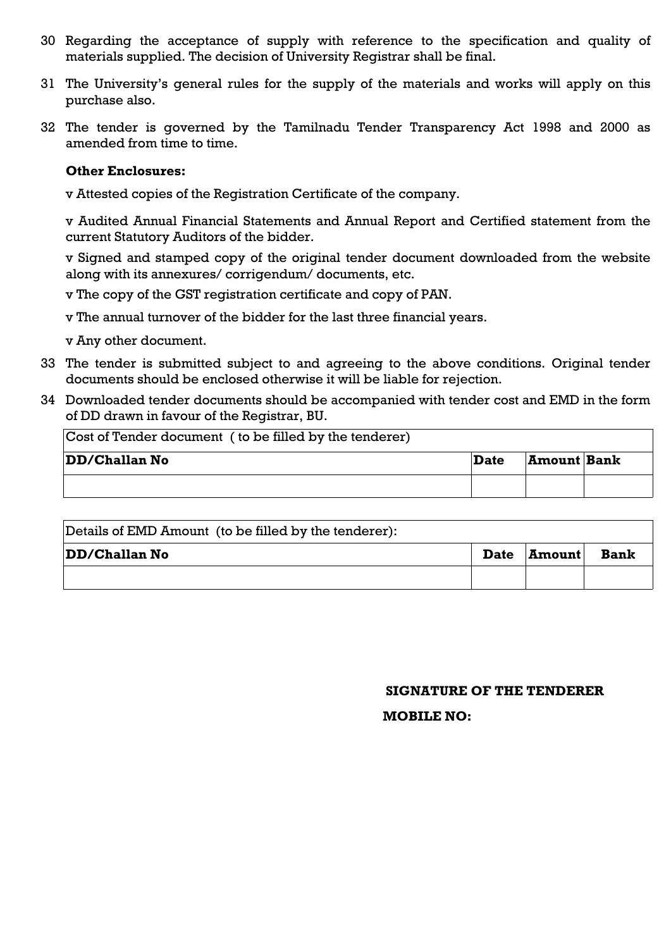- 30 Regarding the acceptance of supply with reference to the specification and quality of materials supplied. The decision of University Registrar shall be final.
- 31 The University's general rules for the supply of the materials and works will apply on this purchase also.
- 32 The tender is governed by the Tamilnadu Tender Transparency Act 1998 and 2000 as amended from time to time.

#### **Other Enclosures:**

v Attested copies of the Registration Certificate of the company.

v Audited Annual Financial Statements and Annual Report and Certified statement from the current Statutory Auditors of the bidder.

v Signed and stamped copy of the original tender document downloaded from the website along with its annexures/ corrigendum/ documents, etc.

- v The copy of the GST registration certificate and copy of PAN.
- v The annual turnover of the bidder for the last three financial years.
- v Any other document.
- 33 The tender is submitted subject to and agreeing to the above conditions. Original tender documents should be enclosed otherwise it will be liable for rejection.
- 34 Downloaded tender documents should be accompanied with tender cost and EMD in the form of DD drawn in favour of the Registrar, BU.

| Cost of Tender document (to be filled by the tenderer) |      |                    |  |
|--------------------------------------------------------|------|--------------------|--|
| <b>DD/Challan No</b>                                   | Date | <b>Amount Bank</b> |  |
|                                                        |      |                    |  |

| Details of EMD Amount (to be filled by the tenderer): |             |               |             |
|-------------------------------------------------------|-------------|---------------|-------------|
| <b>DD/Challan No</b>                                  | <b>Date</b> | <b>Amount</b> | <b>Bank</b> |
|                                                       |             |               |             |

### **SIGNATURE OF THE TENDERER**

### **MOBILE NO:**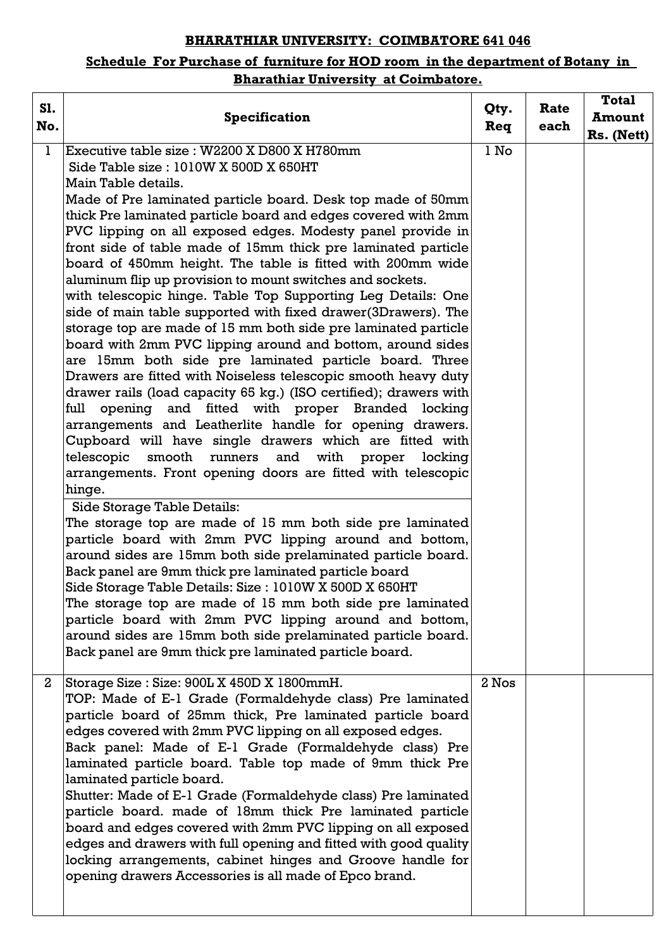## **BHARATHIAR UNIVERSITY: COIMBATORE 641 046**

## **Schedule For Purchase of furniture for HOD room in the department of Botany in Bharathiar University at Coimbatore.**

| S1.<br>No.   | <b>Specification</b>                                                                                                                                                                                                                                                                                                                                                                                                                                                                                                                                                                                                                                                                                                                                                                                                                                                                                                                                                                                                                                                                                                                                                                                                                                                                                                                                                                                                                                                                                                                                                                                                                                                                                                                                                                                                                                                                              | Qty.<br>Req | Rate<br>each | <b>Total</b><br><b>Amount</b><br>Rs. (Nett) |
|--------------|---------------------------------------------------------------------------------------------------------------------------------------------------------------------------------------------------------------------------------------------------------------------------------------------------------------------------------------------------------------------------------------------------------------------------------------------------------------------------------------------------------------------------------------------------------------------------------------------------------------------------------------------------------------------------------------------------------------------------------------------------------------------------------------------------------------------------------------------------------------------------------------------------------------------------------------------------------------------------------------------------------------------------------------------------------------------------------------------------------------------------------------------------------------------------------------------------------------------------------------------------------------------------------------------------------------------------------------------------------------------------------------------------------------------------------------------------------------------------------------------------------------------------------------------------------------------------------------------------------------------------------------------------------------------------------------------------------------------------------------------------------------------------------------------------------------------------------------------------------------------------------------------------|-------------|--------------|---------------------------------------------|
| ı            | Executive table size : W2200 X D800 X H780mm<br>Side Table size: 1010W X 500D X 650HT<br>Main Table details.<br>Made of Pre laminated particle board. Desk top made of 50mm<br>thick Pre laminated particle board and edges covered with 2mm<br>PVC lipping on all exposed edges. Modesty panel provide in<br>front side of table made of 15mm thick pre laminated particle<br>board of 450mm height. The table is fitted with 200mm wide<br>aluminum flip up provision to mount switches and sockets.<br>with telescopic hinge. Table Top Supporting Leg Details: One<br>side of main table supported with fixed drawer(3Drawers). The<br>storage top are made of 15 mm both side pre laminated particle<br>board with 2mm PVC lipping around and bottom, around sides<br>are 15mm both side pre laminated particle board. Three<br>Drawers are fitted with Noiseless telescopic smooth heavy duty<br>drawer rails (load capacity 65 kg.) (ISO certified); drawers with<br>opening and fitted with proper Branded locking<br>full<br>arrangements and Leatherlite handle for opening drawers.<br>Cupboard will have single drawers which are fitted with<br>telescopic<br>smooth<br>runners<br>and with<br>proper<br>locking<br>arrangements. Front opening doors are fitted with telescopic<br>hinge.<br>Side Storage Table Details:<br>The storage top are made of 15 mm both side pre laminated<br>particle board with 2mm PVC lipping around and bottom,<br>around sides are 15mm both side prelaminated particle board.<br>Back panel are 9mm thick pre laminated particle board<br>Side Storage Table Details: Size: 1010W X 500D X 650HT<br>The storage top are made of 15 mm both side pre laminated<br>particle board with 2mm PVC lipping around and bottom,<br>around sides are 15mm both side prelaminated particle board.<br>Back panel are 9mm thick pre laminated particle board. | 1 No        |              |                                             |
| $\mathbf{2}$ | Storage Size: Size: 900L X 450D X 1800mmH.<br>TOP: Made of E-1 Grade (Formaldehyde class) Pre laminated<br>particle board of 25mm thick, Pre laminated particle board<br>edges covered with 2mm PVC lipping on all exposed edges.<br>Back panel: Made of E-1 Grade (Formaldehyde class) Pre<br>laminated particle board. Table top made of 9mm thick Pre<br>laminated particle board.<br>Shutter: Made of E-1 Grade (Formaldehyde class) Pre laminated<br>particle board. made of 18mm thick Pre laminated particle<br>board and edges covered with 2mm PVC lipping on all exposed<br>edges and drawers with full opening and fitted with good quality<br>locking arrangements, cabinet hinges and Groove handle for<br>opening drawers Accessories is all made of Epco brand.                                                                                                                                                                                                                                                                                                                                                                                                                                                                                                                                                                                                                                                                                                                                                                                                                                                                                                                                                                                                                                                                                                                    | 2 Nos       |              |                                             |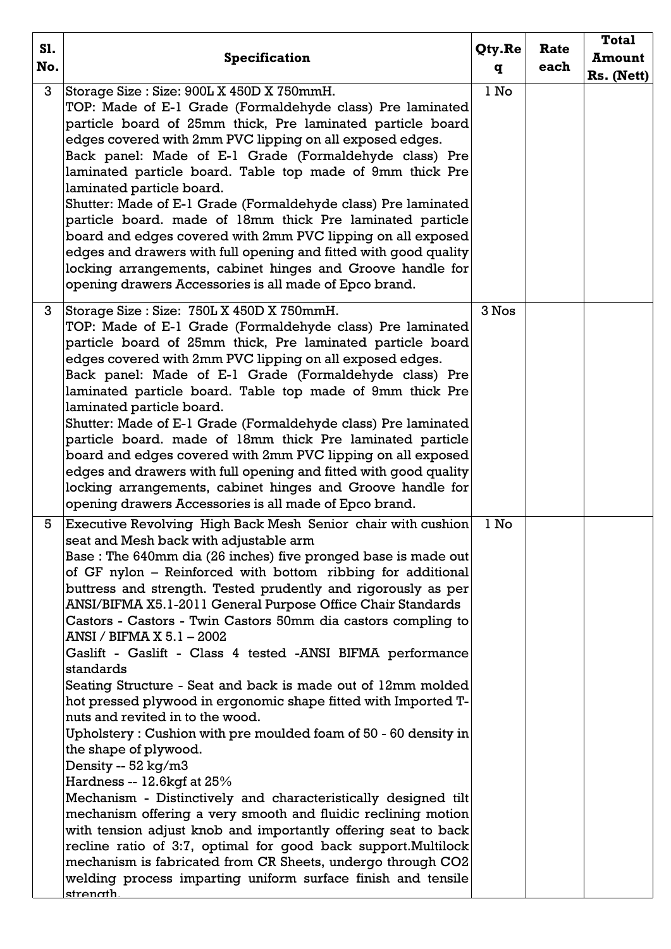| S1. |                                                                                                                                                                                                                                                                                                                                                                                                                                                                                                                                                                                                                                                                                                                                                                                                                                                                                                                                                                                                                                                                                                                                                                                                                                                                                                  | Qty.Re | Rate | <b>Total</b>  |
|-----|--------------------------------------------------------------------------------------------------------------------------------------------------------------------------------------------------------------------------------------------------------------------------------------------------------------------------------------------------------------------------------------------------------------------------------------------------------------------------------------------------------------------------------------------------------------------------------------------------------------------------------------------------------------------------------------------------------------------------------------------------------------------------------------------------------------------------------------------------------------------------------------------------------------------------------------------------------------------------------------------------------------------------------------------------------------------------------------------------------------------------------------------------------------------------------------------------------------------------------------------------------------------------------------------------|--------|------|---------------|
| No. | <b>Specification</b>                                                                                                                                                                                                                                                                                                                                                                                                                                                                                                                                                                                                                                                                                                                                                                                                                                                                                                                                                                                                                                                                                                                                                                                                                                                                             | q      | each | <b>Amount</b> |
|     |                                                                                                                                                                                                                                                                                                                                                                                                                                                                                                                                                                                                                                                                                                                                                                                                                                                                                                                                                                                                                                                                                                                                                                                                                                                                                                  |        |      | Rs. (Nett)    |
| 3   | Storage Size: Size: 900L X 450D X 750mmH.<br>TOP: Made of E-1 Grade (Formaldehyde class) Pre laminated<br>particle board of 25mm thick, Pre laminated particle board<br>edges covered with 2mm PVC lipping on all exposed edges.<br>Back panel: Made of E-1 Grade (Formaldehyde class) Pre<br>laminated particle board. Table top made of 9mm thick Pre<br>laminated particle board.<br>Shutter: Made of E-1 Grade (Formaldehyde class) Pre laminated<br>particle board. made of 18mm thick Pre laminated particle<br>board and edges covered with 2mm PVC lipping on all exposed<br>edges and drawers with full opening and fitted with good quality<br>locking arrangements, cabinet hinges and Groove handle for<br>opening drawers Accessories is all made of Epco brand.                                                                                                                                                                                                                                                                                                                                                                                                                                                                                                                    | l No   |      |               |
| 3   | Storage Size : Size: 750L X 450D X 750mmH.<br>TOP: Made of E-1 Grade (Formaldehyde class) Pre laminated<br>particle board of 25mm thick, Pre laminated particle board<br>edges covered with 2mm PVC lipping on all exposed edges.<br>Back panel: Made of E-1 Grade (Formaldehyde class) Pre<br>laminated particle board. Table top made of 9mm thick Pre<br>laminated particle board.<br>Shutter: Made of E-1 Grade (Formaldehyde class) Pre laminated<br>particle board. made of 18mm thick Pre laminated particle<br>board and edges covered with 2mm PVC lipping on all exposed<br>edges and drawers with full opening and fitted with good quality<br>locking arrangements, cabinet hinges and Groove handle for<br>opening drawers Accessories is all made of Epco brand.                                                                                                                                                                                                                                                                                                                                                                                                                                                                                                                   | 3 Nos  |      |               |
| 5   | Executive Revolving High Back Mesh Senior chair with cushion<br>seat and Mesh back with adjustable arm<br>Base: The 640mm dia (26 inches) five pronged base is made out<br>of GF nylon - Reinforced with bottom ribbing for additional<br>buttress and strength. Tested prudently and rigorously as per<br>ANSI/BIFMA X5.1-2011 General Purpose Office Chair Standards<br>Castors - Castors - Twin Castors 50mm dia castors compling to<br>ANSI / BIFMA X 5.1 - 2002<br>Gaslift - Gaslift - Class 4 tested -ANSI BIFMA performance<br>standards<br>Seating Structure - Seat and back is made out of 12mm molded<br>hot pressed plywood in ergonomic shape fitted with Imported T-<br>nuts and revited in to the wood.<br>Upholstery: Cushion with pre moulded foam of $50$ - 60 density in<br>the shape of plywood.<br>Density -- 52 kg/m3<br>Hardness -- 12.6kgf at 25%<br>Mechanism - Distinctively and characteristically designed tilt<br>mechanism offering a very smooth and fluidic reclining motion<br>with tension adjust knob and importantly offering seat to back<br>recline ratio of 3:7, optimal for good back support.Multilock<br>mechanism is fabricated from CR Sheets, undergo through CO2<br>welding process imparting uniform surface finish and tensile<br><u>strenath</u> | l No   |      |               |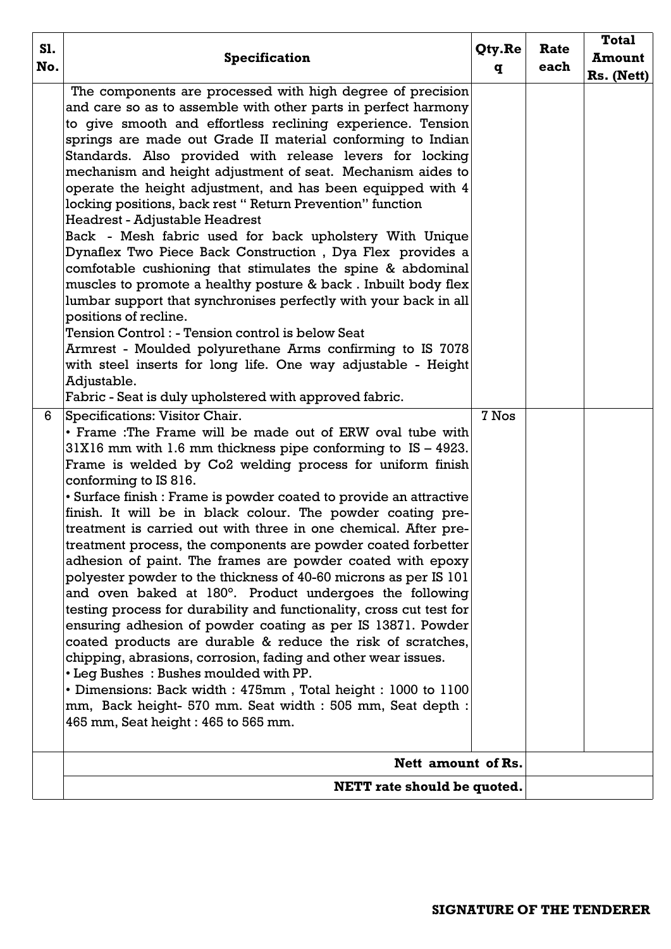| S1.<br>No. | <b>Specification</b>                                                                                                                                                                                                                                                                                                                                                                                                                                                                                                                                                                                                                                                                                                                                                                                                                                                                                                                                                                                                                                                                                                                                                                                                                                                                                                                                                                                                                                                                                    | Qty.Re<br>q | Rate<br>each | <b>Total</b><br><b>Amount</b><br>Rs. (Nett) |
|------------|---------------------------------------------------------------------------------------------------------------------------------------------------------------------------------------------------------------------------------------------------------------------------------------------------------------------------------------------------------------------------------------------------------------------------------------------------------------------------------------------------------------------------------------------------------------------------------------------------------------------------------------------------------------------------------------------------------------------------------------------------------------------------------------------------------------------------------------------------------------------------------------------------------------------------------------------------------------------------------------------------------------------------------------------------------------------------------------------------------------------------------------------------------------------------------------------------------------------------------------------------------------------------------------------------------------------------------------------------------------------------------------------------------------------------------------------------------------------------------------------------------|-------------|--------------|---------------------------------------------|
| 6          | The components are processed with high degree of precision<br>and care so as to assemble with other parts in perfect harmony<br>to give smooth and effortless reclining experience. Tension<br>springs are made out Grade II material conforming to Indian<br>Standards. Also provided with release levers for locking<br>mechanism and height adjustment of seat. Mechanism aides to<br>operate the height adjustment, and has been equipped with 4<br>locking positions, back rest "Return Prevention" function<br>Headrest - Adjustable Headrest<br>Back - Mesh fabric used for back upholstery With Unique<br>Dynaflex Two Piece Back Construction, Dya Flex provides a<br>comfotable cushioning that stimulates the spine & abdominal<br>muscles to promote a healthy posture & back. Inbuilt body flex<br>lumbar support that synchronises perfectly with your back in all<br>positions of recline.<br>Tension Control : - Tension control is below Seat<br>Armrest - Moulded polyurethane Arms confirming to IS 7078<br>with steel inserts for long life. One way adjustable - Height<br>Adjustable.<br>Fabric - Seat is duly upholstered with approved fabric.<br>Specifications: Visitor Chair.<br>• Frame : The Frame will be made out of ERW oval tube with<br>$31X16$ mm with 1.6 mm thickness pipe conforming to $IS - 4923$ .<br>Frame is welded by Co2 welding process for uniform finish<br>conforming to IS 816.<br>• Surface finish : Frame is powder coated to provide an attractive | 7 Nos       |              |                                             |
|            | finish. It will be in black colour. The powder coating pre-<br>treatment is carried out with three in one chemical. After pre-<br>treatment process, the components are powder coated forbetter<br>adhesion of paint. The frames are powder coated with epoxy<br>polyester powder to the thickness of 40-60 microns as per IS 101<br>and oven baked at 180°. Product undergoes the following<br>testing process for durability and functionality, cross cut test for<br>ensuring adhesion of powder coating as per IS 13871. Powder<br>coated products are durable & reduce the risk of scratches,<br>chipping, abrasions, corrosion, fading and other wear issues.<br>• Leg Bushes: Bushes moulded with PP.<br>· Dimensions: Back width: 475mm, Total height: 1000 to 1100<br>mm, Back height- 570 mm. Seat width: 505 mm, Seat depth:<br>465 mm, Seat height : 465 to 565 mm.                                                                                                                                                                                                                                                                                                                                                                                                                                                                                                                                                                                                                         |             |              |                                             |
|            | Nett amount of Rs.                                                                                                                                                                                                                                                                                                                                                                                                                                                                                                                                                                                                                                                                                                                                                                                                                                                                                                                                                                                                                                                                                                                                                                                                                                                                                                                                                                                                                                                                                      |             |              |                                             |
|            | <b>NETT</b> rate should be quoted.                                                                                                                                                                                                                                                                                                                                                                                                                                                                                                                                                                                                                                                                                                                                                                                                                                                                                                                                                                                                                                                                                                                                                                                                                                                                                                                                                                                                                                                                      |             |              |                                             |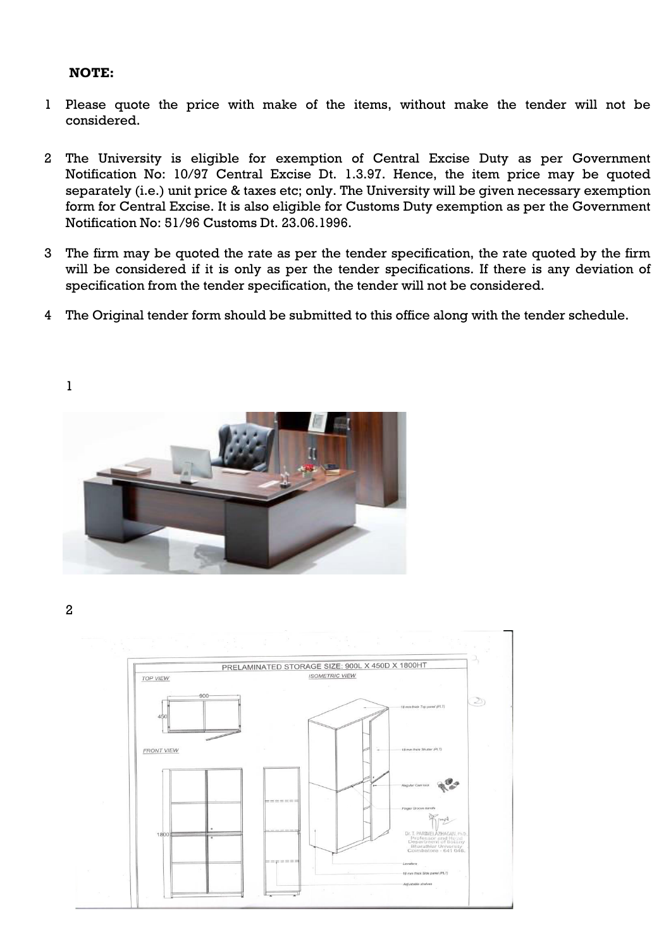#### **NOTE:**

- 1 Please quote the price with make of the items, without make the tender will not be considered.
- 2 The University is eligible for exemption of Central Excise Duty as per Government Notification No: 10/97 Central Excise Dt. 1.3.97. Hence, the item price may be quoted separately (i.e.) unit price & taxes etc; only. The University will be given necessary exemption form for Central Excise. It is also eligible for Customs Duty exemption as per the Government Notification No: 51/96 Customs Dt. 23.06.1996.
- 3 The firm may be quoted the rate as per the tender specification, the rate quoted by the firm will be considered if it is only as per the tender specifications. If there is any deviation of specification from the tender specification, the tender will not be considered.
- 4 The Original tender form should be submitted to this office along with the tender schedule.

1



2